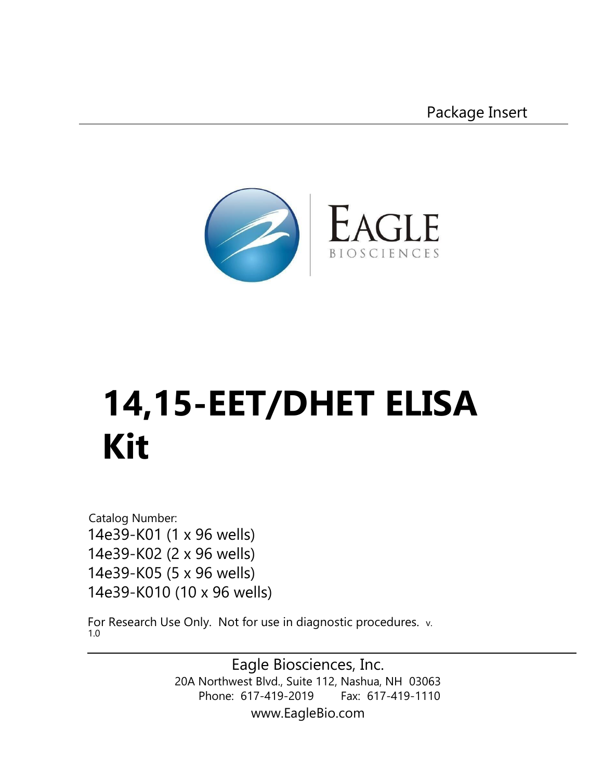Package Insert



# **14,15-EET/DHET ELISA Kit**

Catalog Number: 14e39-K01 (1 x 96 wells) 14e39-K02 (2 x 96 wells) 14e39-K05 (5 x 96 wells) 14e39-K010 (10 x 96 wells)

For Research Use Only. Not for use in diagnostic procedures. v. 1.0

> Eagle Biosciences, Inc. 20A Northwest Blvd., Suite 112, Nashua, NH 03063 Phone: 617-419-2019 Fax: 617-419-1110 www.EagleBio.com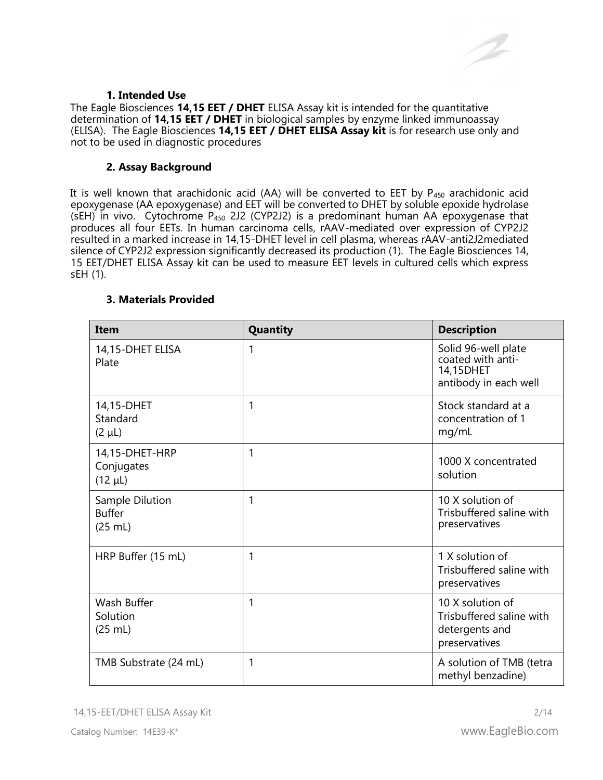

#### **1. Intended Use**

[The Eagle Biosciences](https://www.eaglebio.com/14-15-eet-dhet-elisa-kit/) **[14,1](https://www.eaglebio.com/14-15-eet-dhet-elisa-kit/)5 EET / DHET** ELISA Assay kit is intended for the quantitative determination of **14,15 EET / DHET** in biological samples by enzyme linked immunoassay (ELISA).The Eagle Biosciences **14,15 EET / DHET ELISA Assay kit** is for research use only and not to be used in diagnostic procedures

#### **2. Assay Background**

It is well known that arachidonic acid (AA) will be converted to EET by P<sub>450</sub> arachidonic acid epoxygenase (AA epoxygenase) and EET will be converted to DHET by soluble epoxide hydrolase  $(SEH)$  in vivo. Cytochrome P<sub>450</sub> 2J2 (CYP2J2) is a predominant human AA epoxygenase that produces all four EETs. In human carcinoma cells, rAAV-mediated over expression of CYP2J2 resulted in a marked increase in 14,15-DHET level in cell plasma, whereas rAAV-anti2J2mediated silence of CYP2J2 expression significantly decreased its production (1). The Eagle Biosciences 14, 15 EET/DHET ELISA Assay kit can be used to measure EET levels in cultured cells which express sEH (1).

| <b>Item</b>                                  | Quantity     | <b>Description</b>                                                              |
|----------------------------------------------|--------------|---------------------------------------------------------------------------------|
| 14,15-DHET ELISA<br>Plate                    | 1            | Solid 96-well plate<br>coated with anti-<br>14,15DHET<br>antibody in each well  |
| 14,15-DHET<br>Standard<br>$(2 \mu L)$        | 1            | Stock standard at a<br>concentration of 1<br>mg/mL                              |
| 14,15-DHET-HRP<br>Conjugates<br>$(12 \mu L)$ | 1            | 1000 X concentrated<br>solution                                                 |
| Sample Dilution<br><b>Buffer</b><br>(25 mL)  | 1            | 10 X solution of<br>Trisbuffered saline with<br>preservatives                   |
| HRP Buffer (15 mL)                           | $\mathbf{1}$ | 1 X solution of<br>Trisbuffered saline with<br>preservatives                    |
| Wash Buffer<br>Solution<br>(25 mL)           | 1            | 10 X solution of<br>Trisbuffered saline with<br>detergents and<br>preservatives |
| TMB Substrate (24 mL)                        | 1            | A solution of TMB (tetra<br>methyl benzadine)                                   |

#### **3. Materials Provided**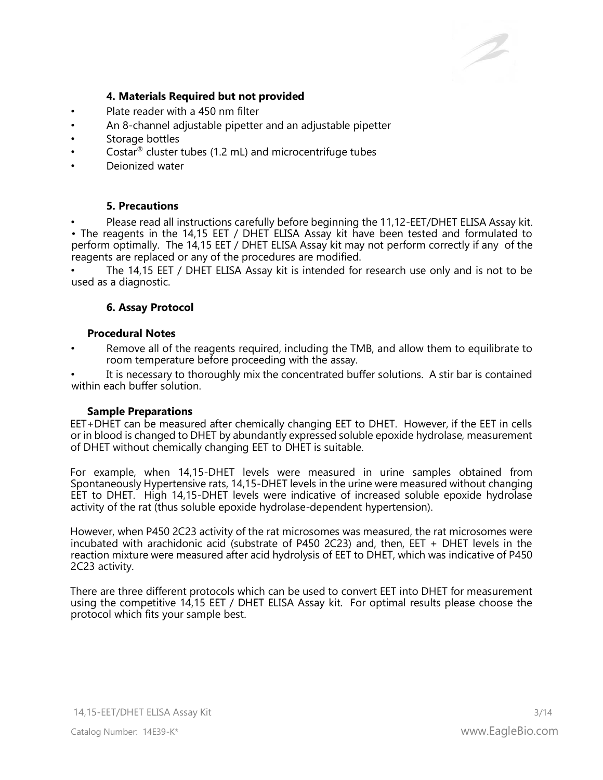# **4. Materials Required but not provided**

- Plate reader with a 450 nm filter
- An 8-channel adjustable pipetter and an adjustable pipetter
- Storage bottles
- Costar<sup>®</sup> cluster tubes (1.2 mL) and microcentrifuge tubes
- Deionized water

# **5. Precautions**

Please read all instructions carefully before beginning the 11,12-EET/DHET ELISA Assay kit. • The reagents in the 14,15 EET / DHET ELISA Assay kit have been tested and formulated to perform optimally. The 14,15 EET / DHET ELISA Assay kit may not perform correctly if any of the reagents are replaced or any of the procedures are modified.

The 14,15 EET / DHET ELISA Assay kit is intended for research use only and is not to be used as a diagnostic.

# **6. Assay Protocol**

#### **Procedural Notes**

• Remove all of the reagents required, including the TMB, and allow them to equilibrate to room temperature before proceeding with the assay.

It is necessary to thoroughly mix the concentrated buffer solutions. A stir bar is contained within each buffer solution.

#### **Sample Preparations**

EET+DHET can be measured after chemically changing EET to DHET. However, if the EET in cells or in blood is changed to DHET by abundantly expressed soluble epoxide hydrolase, measurement of DHET without chemically changing EET to DHET is suitable.

For example, when 14,15-DHET levels were measured in urine samples obtained from Spontaneously Hypertensive rats, 14,15-DHET levels in the urine were measured without changing EET to DHET. High 14,15-DHET levels were indicative of increased soluble epoxide hydrolase activity of the rat (thus soluble epoxide hydrolase-dependent hypertension).

However, when P450 2C23 activity of the rat microsomes was measured, the rat microsomes were incubated with arachidonic acid (substrate of P450 2C23) and, then, EET + DHET levels in the reaction mixture were measured after acid hydrolysis of EET to DHET, which was indicative of P450 2C23 activity.

There are three different protocols which can be used to convert EET into DHET for measurement using the competitive 14,15 EET / DHET ELISA Assay kit. For optimal results please choose the protocol which fits your sample best.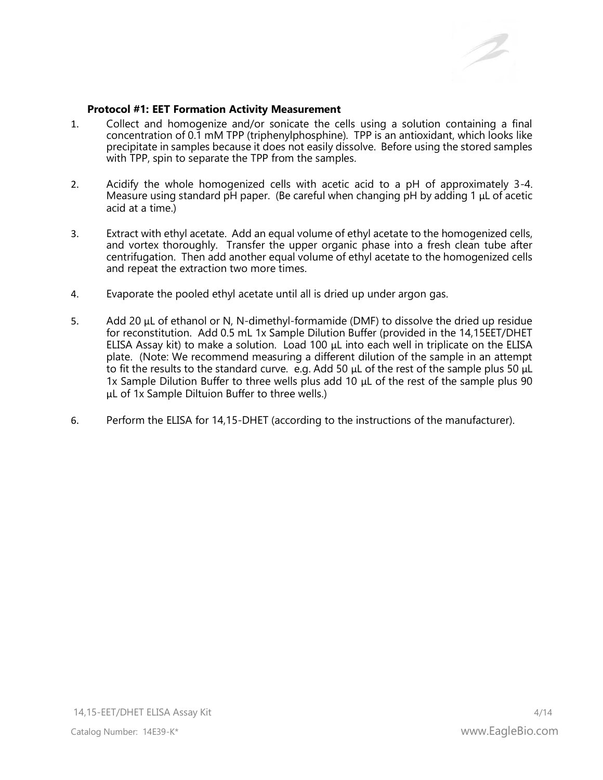

#### **Protocol #1: EET Formation Activity Measurement**

- 1. Collect and homogenize and/or sonicate the cells using a solution containing a final concentration of 0.1 mM TPP (triphenylphosphine). TPP is an antioxidant, which looks like precipitate in samples because it does not easily dissolve. Before using the stored samples with TPP, spin to separate the TPP from the samples.
- 2. Acidify the whole homogenized cells with acetic acid to a pH of approximately 3-4. Measure using standard pH paper. (Be careful when changing pH by adding 1 μL of acetic acid at a time.)
- 3. Extract with ethyl acetate. Add an equal volume of ethyl acetate to the homogenized cells, and vortex thoroughly. Transfer the upper organic phase into a fresh clean tube after centrifugation. Then add another equal volume of ethyl acetate to the homogenized cells and repeat the extraction two more times.
- 4. Evaporate the pooled ethyl acetate until all is dried up under argon gas.
- 5. Add 20 μL of ethanol or N, N-dimethyl-formamide (DMF) to dissolve the dried up residue for reconstitution. Add 0.5 mL 1x Sample Dilution Buffer (provided in the 14,15EET/DHET ELISA Assay kit) to make a solution. Load 100 μL into each well in triplicate on the ELISA plate. (Note: We recommend measuring a different dilution of the sample in an attempt to fit the results to the standard curve. e.g. Add 50 μL of the rest of the sample plus 50 μL 1x Sample Dilution Buffer to three wells plus add 10 μL of the rest of the sample plus 90 μL of 1x Sample Diltuion Buffer to three wells.)
- 6. Perform the ELISA for 14,15-DHET (according to the instructions of the manufacturer).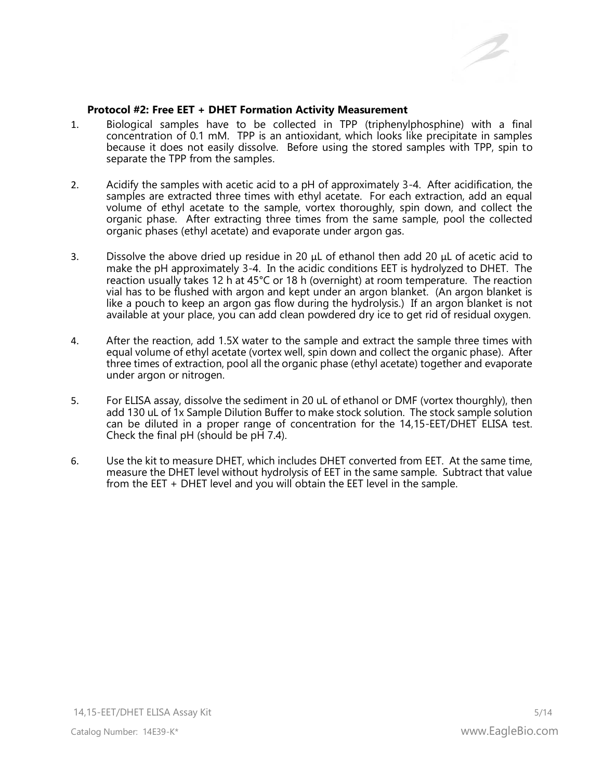

#### **Protocol #2: Free EET + DHET Formation Activity Measurement**

- 1. Biological samples have to be collected in TPP (triphenylphosphine) with a final concentration of 0.1 mM. TPP is an antioxidant, which looks like precipitate in samples because it does not easily dissolve. Before using the stored samples with TPP, spin to separate the TPP from the samples.
- 2. Acidify the samples with acetic acid to a pH of approximately 3-4. After acidification, the samples are extracted three times with ethyl acetate. For each extraction, add an equal volume of ethyl acetate to the sample, vortex thoroughly, spin down, and collect the organic phase. After extracting three times from the same sample, pool the collected organic phases (ethyl acetate) and evaporate under argon gas.
- 3. Dissolve the above dried up residue in 20 μL of ethanol then add 20 μL of acetic acid to make the pH approximately 3-4. In the acidic conditions EET is hydrolyzed to DHET. The reaction usually takes 12 h at 45°C or 18 h (overnight) at room temperature. The reaction vial has to be flushed with argon and kept under an argon blanket. (An argon blanket is like a pouch to keep an argon gas flow during the hydrolysis.) If an argon blanket is not available at your place, you can add clean powdered dry ice to get rid of residual oxygen.
- 4. After the reaction, add 1.5X water to the sample and extract the sample three times with equal volume of ethyl acetate (vortex well, spin down and collect the organic phase). After three times of extraction, pool all the organic phase (ethyl acetate) together and evaporate under argon or nitrogen.
- 5. For ELISA assay, dissolve the sediment in 20 uL of ethanol or DMF (vortex thourghly), then add 130 uL of 1x Sample Dilution Buffer to make stock solution. The stock sample solution can be diluted in a proper range of concentration for the 14,15-EET/DHET ELISA test. Check the final  $pH$  (should be  $pH$  7.4).
- 6. Use the kit to measure DHET, which includes DHET converted from EET. At the same time, measure the DHET level without hydrolysis of EET in the same sample. Subtract that value from the EET + DHET level and you will obtain the EET level in the sample.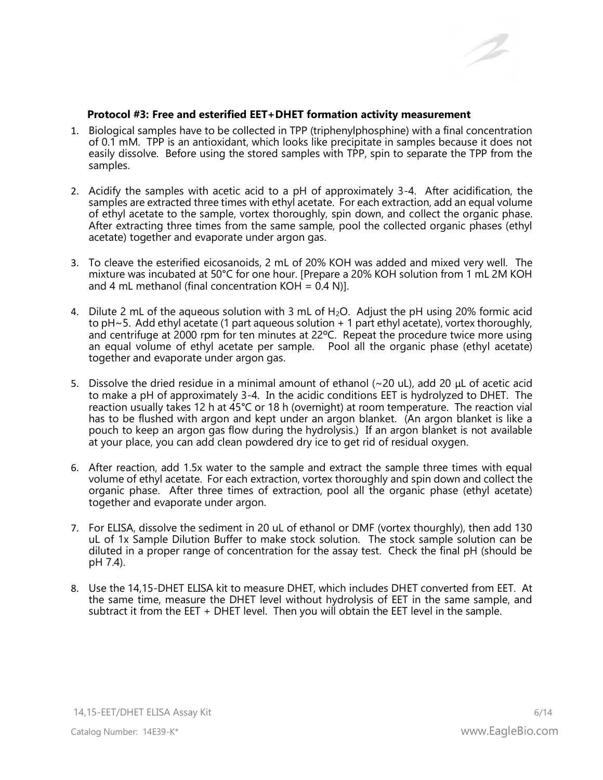

#### **Protocol #3: Free and esterified EET+DHET formation activity measurement**

- 1. Biological samples have to be collected in TPP (triphenylphosphine) with a final concentration of 0.1 mM. TPP is an antioxidant, which looks like precipitate in samples because it does not easily dissolve. Before using the stored samples with TPP, spin to separate the TPP from the samples.
- 2. Acidify the samples with acetic acid to a pH of approximately 3-4. After acidification, the samples are extracted three times with ethyl acetate. For each extraction, add an equal volume of ethyl acetate to the sample, vortex thoroughly, spin down, and collect the organic phase. After extracting three times from the same sample, pool the collected organic phases (ethyl acetate) together and evaporate under argon gas.
- 3. To cleave the esterified eicosanoids, 2 mL of 20% KOH was added and mixed very well. The mixture was incubated at 50°C for one hour. [Prepare a 20% KOH solution from 1 mL 2M KOH and 4 mL methanol (final concentration  $KOH = 0.4$  N)].
- 4. Dilute 2 mL of the aqueous solution with 3 mL of  $H_2O$ . Adjust the pH using 20% formic acid to pH~5. Add ethyl acetate (1 part aqueous solution + 1 part ethyl acetate), vortex thoroughly, and centrifuge at 2000 rpm for ten minutes at 22ºC. Repeat the procedure twice more using an equal volume of ethyl acetate per sample. Pool all the organic phase (ethyl acetate) together and evaporate under argon gas.
- 5. Dissolve the dried residue in a minimal amount of ethanol  $\sim$  20 uL), add 20  $\mu$ L of acetic acid to make a pH of approximately 3-4. In the acidic conditions EET is hydrolyzed to DHET. The reaction usually takes 12 h at 45°C or 18 h (overnight) at room temperature. The reaction vial has to be flushed with argon and kept under an argon blanket. (An argon blanket is like a pouch to keep an argon gas flow during the hydrolysis.) If an argon blanket is not available at your place, you can add clean powdered dry ice to get rid of residual oxygen.
- 6. After reaction, add 1.5x water to the sample and extract the sample three times with equal volume of ethyl acetate. For each extraction, vortex thoroughly and spin down and collect the organic phase. After three times of extraction, pool all the organic phase (ethyl acetate) together and evaporate under argon.
- 7. For ELISA, dissolve the sediment in 20 uL of ethanol or DMF (vortex thourghly), then add 130 uL of 1x Sample Dilution Buffer to make stock solution. The stock sample solution can be diluted in a proper range of concentration for the assay test. Check the final pH (should be pH 7.4).
- 8. Use the 14,15-DHET ELISA kit to measure DHET, which includes DHET converted from EET. At the same time, measure the DHET level without hydrolysis of EET in the same sample, and subtract it from the EET + DHET level. Then you will obtain the EET level in the sample.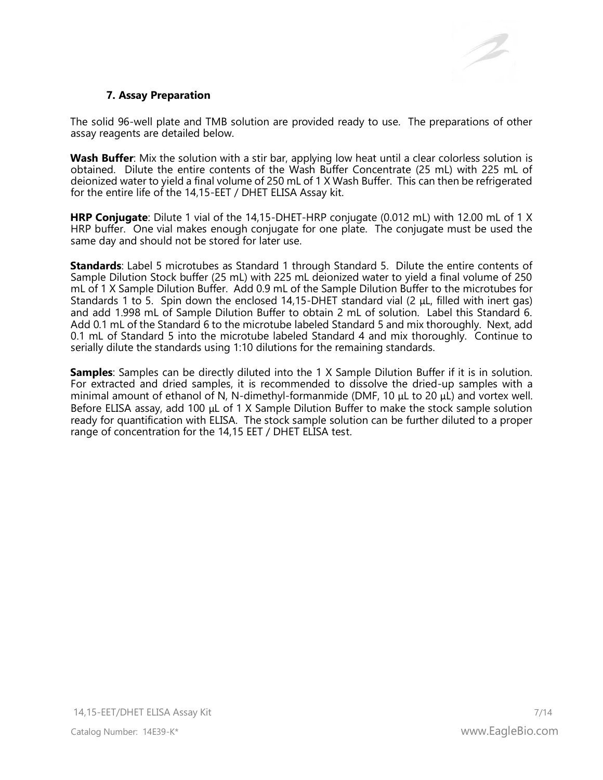

#### **7. Assay Preparation**

The solid 96-well plate and TMB solution are provided ready to use. The preparations of other assay reagents are detailed below.

**Wash Buffer**: Mix the solution with a stir bar, applying low heat until a clear colorless solution is obtained. Dilute the entire contents of the Wash Buffer Concentrate (25 mL) with 225 mL of deionized water to yield a final volume of 250 mL of 1 X Wash Buffer. This can then be refrigerated for the entire life of the 14,15-EET / DHET ELISA Assay kit.

**HRP Conjugate**: Dilute 1 vial of the 14,15-DHET-HRP conjugate (0.012 mL) with 12.00 mL of 1 X HRP buffer. One vial makes enough conjugate for one plate. The conjugate must be used the same day and should not be stored for later use.

**Standards**: Label 5 microtubes as Standard 1 through Standard 5. Dilute the entire contents of Sample Dilution Stock buffer (25 mL) with 225 mL deionized water to yield a final volume of 250 mL of 1 X Sample Dilution Buffer. Add 0.9 mL of the Sample Dilution Buffer to the microtubes for Standards 1 to 5. Spin down the enclosed 14,15-DHET standard vial (2 μL, filled with inert gas) and add 1.998 mL of Sample Dilution Buffer to obtain 2 mL of solution. Label this Standard 6. Add 0.1 mL of the Standard 6 to the microtube labeled Standard 5 and mix thoroughly. Next, add 0.1 mL of Standard 5 into the microtube labeled Standard 4 and mix thoroughly. Continue to serially dilute the standards using 1:10 dilutions for the remaining standards.

**Samples**: Samples can be directly diluted into the 1 X Sample Dilution Buffer if it is in solution. For extracted and dried samples, it is recommended to dissolve the dried-up samples with a minimal amount of ethanol of N, N-dimethyl-formanmide (DMF, 10 μL to 20 μL) and vortex well. Before ELISA assay, add 100 μL of 1 X Sample Dilution Buffer to make the stock sample solution ready for quantification with ELISA. The stock sample solution can be further diluted to a proper range of concentration for the 14,15 EET / DHET ELISA test.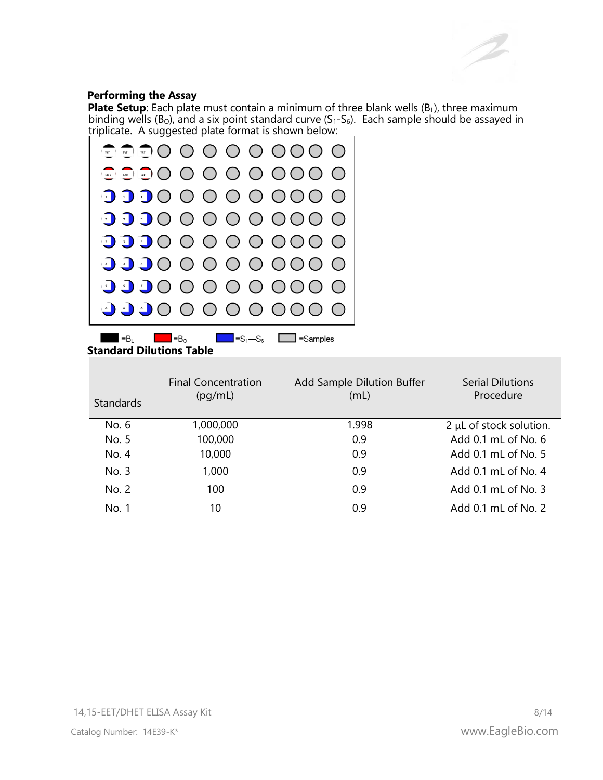#### **Performing the Assay**

**Plate Setup**: Each plate must contain a minimum of three blank wells (B<sub>L</sub>), three maximum binding wells ( $B<sub>0</sub>$ ), and a six point standard curve ( $S<sub>1</sub>-S<sub>6</sub>$ ). Each sample should be assayed in triplicate. A suggested plate format is shown below:



**Standard Dilutions Table** 

| <b>Standards</b> | <b>Final Concentration</b><br>(pq/mL) | Add Sample Dilution Buffer<br>(mL) | <b>Serial Dilutions</b><br>Procedure |
|------------------|---------------------------------------|------------------------------------|--------------------------------------|
| No. 6            | 1,000,000                             | 1.998                              | $2 \mu L$ of stock solution.         |
| No. 5            | 100,000                               | 0.9                                | Add 0.1 mL of No. 6                  |
| No. 4            | 10,000                                | 0.9                                | Add 0.1 mL of No. 5                  |
| No. 3            | 1,000                                 | 0.9                                | Add 0.1 mL of No. 4                  |
| No. 2            | 100                                   | 0.9                                | Add 0.1 mL of No. 3                  |
| No. 1            | 10                                    | 0.9                                | Add 0.1 mL of No. 2                  |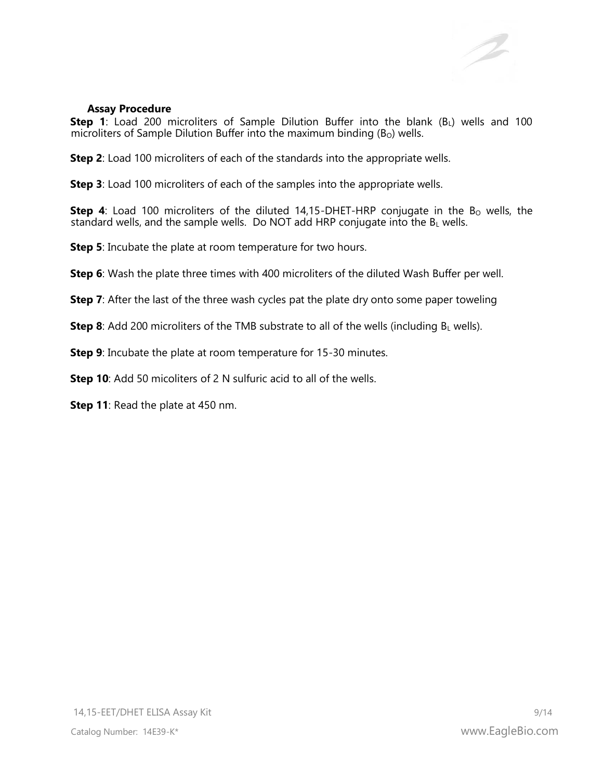#### **Assay Procedure**

**Step 1**: Load 200 microliters of Sample Dilution Buffer into the blank (B<sub>L</sub>) wells and 100 microliters of Sample Dilution Buffer into the maximum binding  $(B<sub>O</sub>)$  wells.

**Step 2**: Load 100 microliters of each of the standards into the appropriate wells.

**Step 3**: Load 100 microliters of each of the samples into the appropriate wells.

**Step 4**: Load 100 microliters of the diluted 14,15-DHET-HRP conjugate in the B<sub>o</sub> wells, the standard wells, and the sample wells. Do NOT add HRP conjugate into the  $B_L$  wells.

**Step 5**: Incubate the plate at room temperature for two hours.

**Step 6**: Wash the plate three times with 400 microliters of the diluted Wash Buffer per well.

**Step 7:** After the last of the three wash cycles pat the plate dry onto some paper toweling

**Step 8**: Add 200 microliters of the TMB substrate to all of the wells (including  $B_L$  wells).

**Step 9:** Incubate the plate at room temperature for 15-30 minutes.

**Step 10**: Add 50 micoliters of 2 N sulfuric acid to all of the wells.

**Step 11**: Read the plate at 450 nm.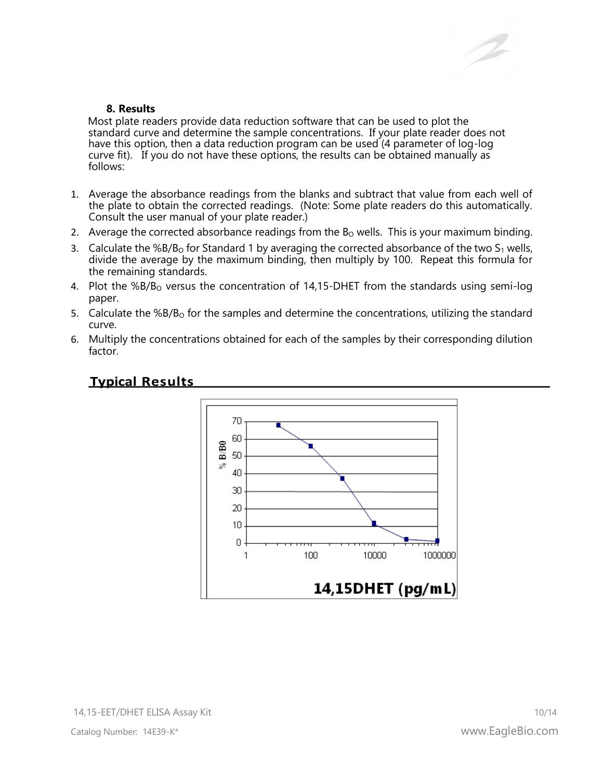

### **8. Results**

Most plate readers provide data reduction software that can be used to plot the standard curve and determine the sample concentrations. If your plate reader does not have this option, then a data reduction program can be used (4 parameter of log-log curve fit). If you do not have these options, the results can be obtained manually as follows:

- 1. Average the absorbance readings from the blanks and subtract that value from each well of the plate to obtain the corrected readings. (Note: Some plate readers do this automatically. Consult the user manual of your plate reader.)
- 2. Average the corrected absorbance readings from the  $B<sub>o</sub>$  wells. This is your maximum binding.
- 3. Calculate the %B/B<sub>o</sub> for Standard 1 by averaging the corrected absorbance of the two  $S_1$  wells, divide the average by the maximum binding, then multiply by 100. Repeat this formula for the remaining standards.
- 4. Plot the %B/B<sub>o</sub> versus the concentration of 14,15-DHET from the standards using semi-log paper.
- 5. Calculate the  $%B/B<sub>o</sub>$  for the samples and determine the concentrations, utilizing the standard curve.
- 6. Multiply the concentrations obtained for each of the samples by their corresponding dilution factor.



# **Typical Results**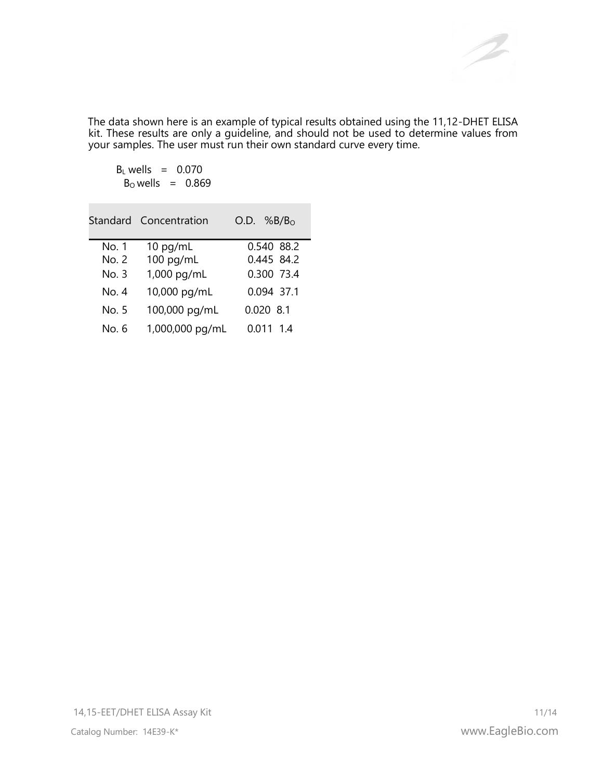The data shown here is an example of typical results obtained using the 11,12-DHET ELISA kit. These results are only a guideline, and should not be used to determine values from your samples. The user must run their own standard curve every time.

 $B_L$  wells = 0.070  $B<sub>o</sub>$  wells = 0.869

|       | Standard Concentration | $O.D.$ %B/B <sub>o</sub> |
|-------|------------------------|--------------------------|
| No. 1 | $10$ pg/mL             | 0.540 88.2               |
| No. 2 | 100 pg/mL              | 0.445 84.2               |
| No. 3 | 1,000 pg/mL            | 0.300 73.4               |
| No. 4 | 10,000 pg/mL           | 0.094 37.1               |
| No. 5 | 100,000 pg/mL          | $0.020$ 8.1              |
| No. 6 | 1,000,000 pg/mL        | 0.011 1.4                |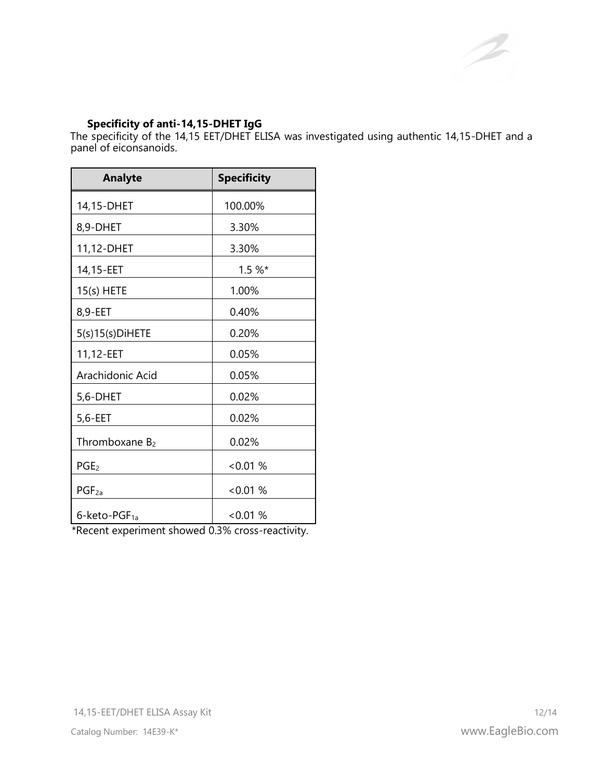# **Specificity of anti-14,15-DHET IgG**

The specificity of the 14,15 EET/DHET ELISA was investigated using authentic 14,15-DHET and a panel of eiconsanoids.

| <b>Analyte</b>        | <b>Specificity</b> |
|-----------------------|--------------------|
| 14,15-DHET            | 100.00%            |
| 8,9-DHET              | 3.30%              |
| 11,12-DHET            | 3.30%              |
| 14,15-EET             | $1.5 \%$ *         |
| $15(s)$ HETE          | 1.00%              |
| 8,9-EET               | 0.40%              |
| $5(s)15(s)$ DiHETE    | 0.20%              |
| 11,12-EET             | 0.05%              |
| Arachidonic Acid      | 0.05%              |
| 5,6-DHET              | 0.02%              |
| 5,6-EET               | $0.02\%$           |
| Thromboxane $B_2$     | 0.02%              |
| PGE <sub>2</sub>      | <0.01%             |
| $PGF_{2a}$            | <0.01%             |
| $6$ -keto-PGF $_{1a}$ | <0.01%             |

\*Recent experiment showed 0.3% cross-reactivity.

 $\bigwedge$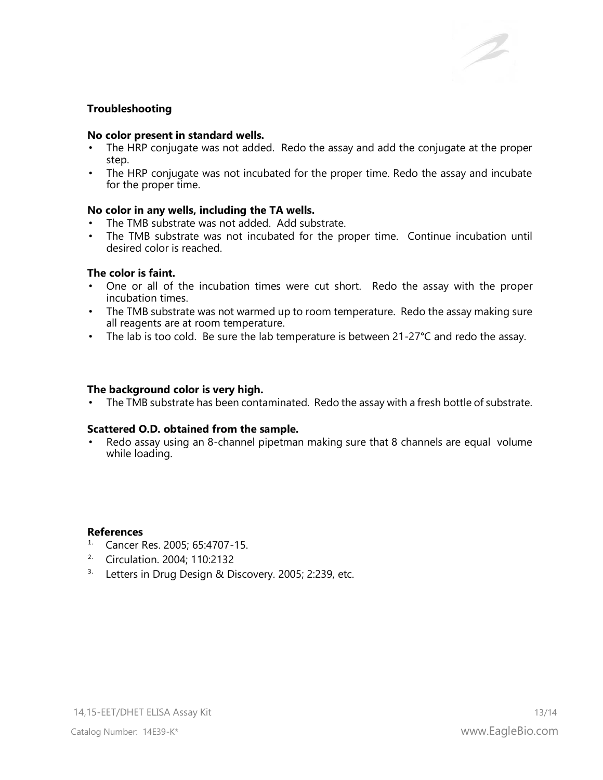# **Troubleshooting**

#### **No color present in standard wells.**

- The HRP conjugate was not added. Redo the assay and add the conjugate at the proper step.
- The HRP conjugate was not incubated for the proper time. Redo the assay and incubate for the proper time.

#### **No color in any wells, including the TA wells.**

- The TMB substrate was not added. Add substrate.
- The TMB substrate was not incubated for the proper time. Continue incubation until desired color is reached.

#### **The color is faint.**

- One or all of the incubation times were cut short. Redo the assay with the proper incubation times.
- The TMB substrate was not warmed up to room temperature. Redo the assay making sure all reagents are at room temperature.
- The lab is too cold. Be sure the lab temperature is between  $21-27$ °C and redo the assay.

#### **The background color is very high.**

• The TMB substrate has been contaminated. Redo the assay with a fresh bottle of substrate.

#### **Scattered O.D. obtained from the sample.**

Redo assay using an 8-channel pipetman making sure that 8 channels are equal volume while loading.

#### **References**

- 1. Cancer Res. 2005; 65:4707-15.
- 2. Circulation. 2004; 110:2132
- <sup>3.</sup> Letters in Drug Design & Discovery. 2005; 2:239, etc.